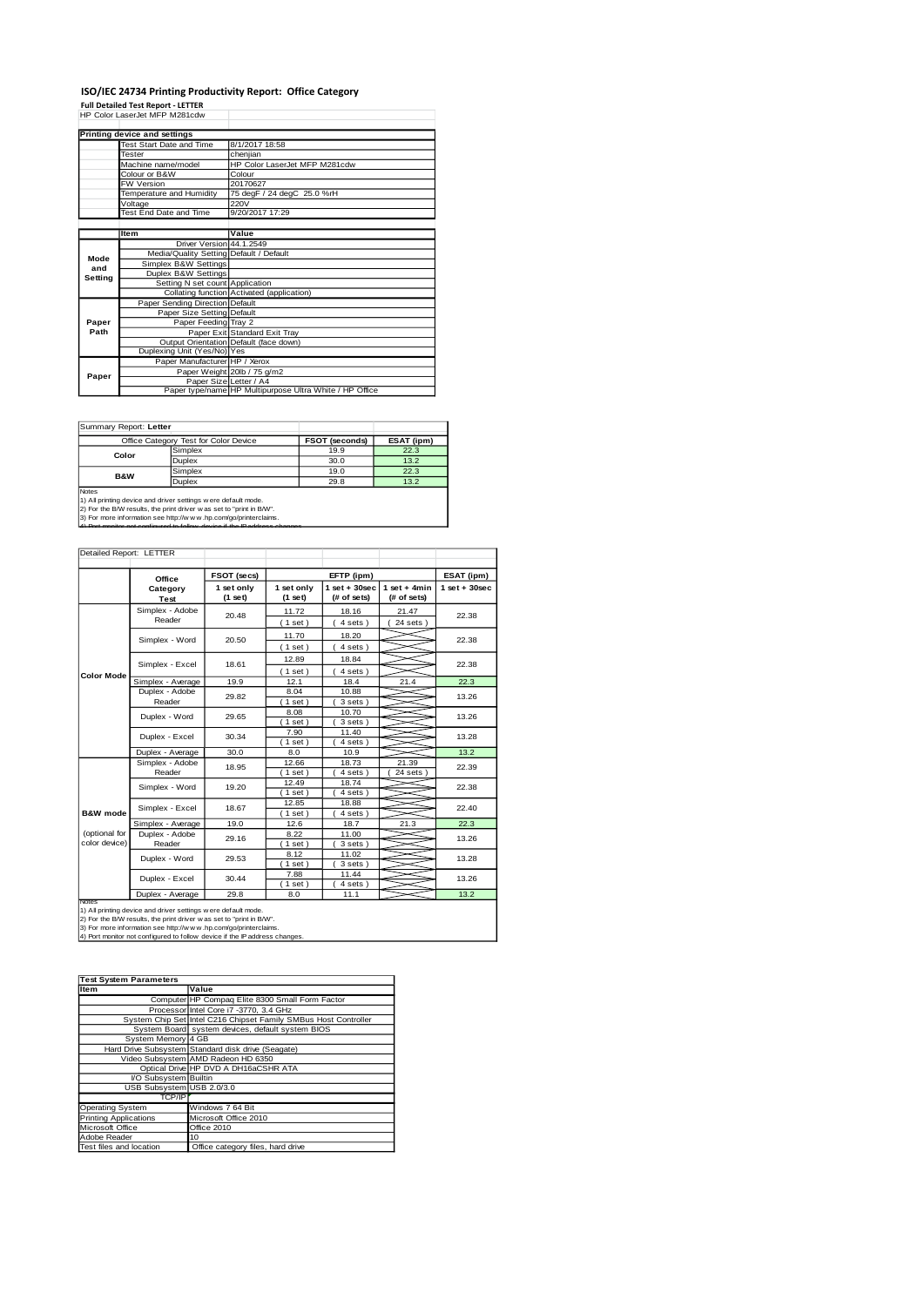### **ISO/IEC 24734 Printing Productivity Report: Office Category**

**Full Detailed Test Report - LETTER** HP Color LaserJet MFP M281cdw

|         | Printing device and settings            |                                                         |
|---------|-----------------------------------------|---------------------------------------------------------|
|         | Test Start Date and Time                | 8/1/2017 18:58                                          |
|         | Tester                                  | cheniian                                                |
|         | Machine name/model                      | HP Color LaserJet MFP M281cdw                           |
|         | Colour or B&W                           | Colour                                                  |
|         | FW Version                              | 20170627                                                |
|         | Temperature and Humidity                | 75 degF / 24 degC 25.0 %rH                              |
|         | Voltage                                 | 220V                                                    |
|         | Test End Date and Time                  | 9/20/2017 17:29                                         |
|         |                                         |                                                         |
|         | Item                                    | Value                                                   |
|         | Driver Version 44.1.2549                |                                                         |
| Mode    | Media/Quality Setting Default / Default |                                                         |
| and     | Simplex B&W Settings                    |                                                         |
| Setting | Duplex B&W Settings                     |                                                         |
|         | Setting N set count Application         |                                                         |
|         |                                         | Collating function Activated (application)              |
|         | Paper Sending Direction Default         |                                                         |
|         | Paper Size Setting Default              |                                                         |
| Paper   | Paper Feeding Tray 2                    |                                                         |
| Path    |                                         | Paper Exit Standard Exit Tray                           |
|         |                                         | Output Orientation Default (face down)                  |
|         | Duplexing Unit (Yes/No) Yes             |                                                         |
|         | Paper Manufacturer HP / Xerox           |                                                         |
| Paper   |                                         | Paper Weight 20lb / 75 g/m2                             |
|         |                                         | Paper Size Letter / A4                                  |
|         |                                         | Paper type/name HP Multipurpose Ultra White / HP Office |

Summary Report: **Letter**

|                                                              | Office Category Test for Color Device | <b>FSOT (seconds)</b> | ESAT (ipm) |  |  |  |
|--------------------------------------------------------------|---------------------------------------|-----------------------|------------|--|--|--|
|                                                              | Simplex                               | 19.9                  | 22.3       |  |  |  |
| Color                                                        | Duplex                                | 30.0                  | 13.2       |  |  |  |
| <b>B&amp;W</b>                                               | Simplex                               | 19.0                  | 22.3       |  |  |  |
|                                                              | Duplex                                | 29.8                  | 13.2       |  |  |  |
| <b>Notes</b>                                                 |                                       |                       |            |  |  |  |
| 1) All printing device and driver settings were default mode |                                       |                       |            |  |  |  |

1) All printing device and driver settings were default mode.<br>2) For the BMV results, the print driver was set to "print in BAW".<br>3) For more information see http://www.hp.com/go/printerclaims.<br>4) Por monitor not operious

| Detailed Report: LETTER        |                           |                         |                         |                                |                               |                   |
|--------------------------------|---------------------------|-------------------------|-------------------------|--------------------------------|-------------------------------|-------------------|
|                                | Office                    | FSOT (secs)             | EFTP (ipm)              |                                |                               | ESAT (ipm)        |
|                                | Category<br>Test          | 1 set only<br>$(1$ set) | 1 set only<br>$(1$ set) | $1$ set + 30sec<br>(# of sets) | $1$ set + 4min<br>(# of sets) | $1$ set $+30$ sec |
|                                | Simplex - Adobe<br>Reader | 20.48                   | 11.72<br>(1 set)        | 18.16<br>4 sets)               | 21.47<br>$24$ sets $)$        | 22.38             |
|                                | Simplex - Word            | 20.50                   | 11.70<br>(1 set)        | 18.20<br>4 sets)               |                               | 22.38             |
|                                | Simplex - Excel           | 18.61                   | 12.89<br>(1 set)        | 18.84<br>4 sets)               |                               | 22.38             |
| <b>Color Mode</b>              | Simplex - Average         | 19.9                    | 12.1                    | 18.4                           | 21.4                          | 22.3              |
|                                | Duplex - Adobe<br>Reader  | 29.82                   | 8.04<br>$1$ set)        | 10.88<br>3 sets)               |                               | 13.26             |
|                                | Duplex - Word             | 29.65                   | 8.08<br>$1$ set)        | 10.70<br>3 sets)               |                               | 13.26             |
|                                | Duplex - Excel            | 30.34                   | 7.90<br>$1$ set)        | 11.40<br>4 sets)               |                               | 13.28             |
|                                | Duplex - Average          | 30.0                    | 8.0                     | 10.9                           |                               | 13.2              |
|                                | Simplex - Adobe<br>Reader | 18.95                   | 12.66<br>$1$ set)       | 18.73<br>4 sets)               | 21.39<br>24 sets              | 22.39             |
|                                | Simplex - Word            | 19.20                   | 12.49<br>$1$ set        | 18.74<br>4 sets)               |                               | 22.38             |
| B&W mode                       | Simplex - Excel           | 18.67                   | 12.85<br>$1$ set)       | 18.88<br>4 sets)               |                               | 22.40             |
|                                | Simplex - Average         | 19.0                    | 12.6                    | 18.7                           | 21.3                          | 22.3              |
| (optional for<br>color device) | Duplex - Adobe<br>Reader  | 29.16                   | 8.22<br>$1$ set)        | 11.00<br>3 sets)               |                               | 13.26             |
|                                | Duplex - Word             | 29.53                   | 8.12<br>$1$ set)        | 11.02<br>3 sets)               |                               | 13.28             |
|                                | Duplex - Excel            | 30.44                   | 7.88<br>$1$ set)        | 11.44<br>4 sets)               |                               | 13.26             |
|                                | Duplex - Average          | 29.8                    | 8.0                     | 11.1                           |                               | 13.2              |
| <b>Notes</b>                   |                           |                         |                         |                                |                               |                   |

Notes<br>1) All printing device and driver settings were default mode.<br>2) For the B/W results, the print driver was set to "print in B/W".<br>3) For more information see http://w.w. vhp.com/go/printerclaims.<br>4) Port monitor not

| <b>Test System Parameters</b> |                                                                 |
|-------------------------------|-----------------------------------------------------------------|
| Item                          | Value                                                           |
|                               | Computer HP Compaq Elite 8300 Small Form Factor                 |
|                               | Processor Intel Core i7 -3770, 3.4 GHz                          |
|                               | System Chip Set Intel C216 Chipset Family SMBus Host Controller |
|                               | System Board system devices, default system BIOS                |
| System Memory 4 GB            |                                                                 |
|                               | Hard Drive Subsystem Standard disk drive (Seagate)              |
|                               | Video Subsystem AMD Radeon HD 6350                              |
|                               | Optical Drive HP DVD A DH16aCSHR ATA                            |
| VO Subsystem Builtin          |                                                                 |
| USB Subsystem USB 2.0/3.0     |                                                                 |
| TCP/IP                        |                                                                 |
| <b>Operating System</b>       | Windows 7 64 Bit                                                |
| <b>Printing Applications</b>  | Microsoft Office 2010                                           |
| Microsoft Office              | Office 2010                                                     |
| Adobe Reader                  | 10                                                              |
| Test files and location       | Office category files, hard drive                               |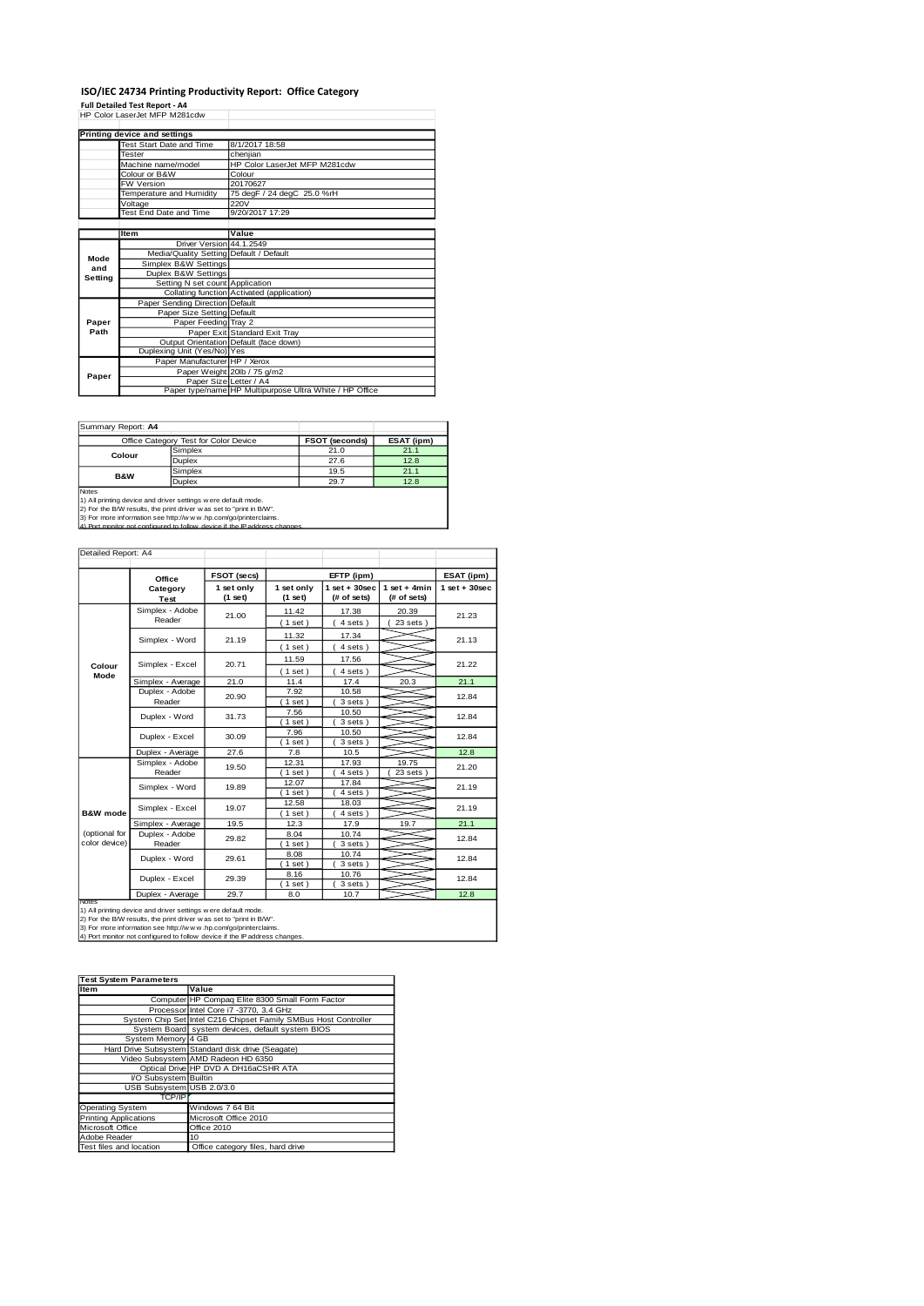#### **ISO/IEC 24734 Printing Productivity Report: Office Category**

**Full Detailed Test Report - A4** HP Color LaserJet MFP M281cdw

|         | Printing device and settings            |                                                         |
|---------|-----------------------------------------|---------------------------------------------------------|
|         | Test Start Date and Time                | 8/1/2017 18:58                                          |
|         | Tester                                  | chenjian                                                |
|         | Machine name/model                      | HP Color LaserJet MFP M281cdw                           |
|         | Colour or B&W                           | Colour                                                  |
|         | FW Version                              | 20170627                                                |
|         | Temperature and Humidity                | 75 degF / 24 degC 25.0 %rH                              |
|         | Voltage                                 | 220V                                                    |
|         | Test End Date and Time                  | 9/20/2017 17:29                                         |
|         |                                         |                                                         |
|         | Item                                    | Value                                                   |
|         | Driver Version 44.1.2549                |                                                         |
| Mode    | Media/Quality Setting Default / Default |                                                         |
| and     | Simplex B&W Settings                    |                                                         |
| Setting | Duplex B&W Settings                     |                                                         |
|         | Setting N set count Application         |                                                         |
|         |                                         | Collating function Activated (application)              |
|         | Paper Sending Direction Default         |                                                         |
|         | Paper Size Setting Default              |                                                         |
| Paper   | Paper Feeding Tray 2                    |                                                         |
| Path    |                                         | Paper Exit Standard Exit Tray                           |
|         |                                         | Output Orientation Default (face down)                  |
|         | Duplexing Unit (Yes/No) Yes             |                                                         |
|         | Paper Manufacturer HP / Xerox           |                                                         |
| Paper   |                                         | Paper Weight 20lb / 75 g/m2                             |
|         | Paper Size Letter / A4                  |                                                         |
|         |                                         | Paper type/name HP Multipurpose Ultra White / HP Office |

Summary Report: **A4**

|                                                                                                                                                                                                                                         | Office Category Test for Color Device | <b>FSOT (seconds)</b> | ESAT (ipm) |  |  |  |
|-----------------------------------------------------------------------------------------------------------------------------------------------------------------------------------------------------------------------------------------|---------------------------------------|-----------------------|------------|--|--|--|
| Colour                                                                                                                                                                                                                                  | Simplex                               | 21.0                  | 21.1       |  |  |  |
|                                                                                                                                                                                                                                         | <b>Duplex</b>                         | 27.6                  | 12.8       |  |  |  |
| <b>B&amp;W</b>                                                                                                                                                                                                                          | Simplex                               | 19.5                  | 21.1       |  |  |  |
|                                                                                                                                                                                                                                         | <b>Duplex</b>                         | 29.7                  | 12.8       |  |  |  |
| Notes<br>and the contract of the contract of the contract of the contract of the contract of the contract of the contract of the contract of the contract of the contract of the contract of the contract of the contract of the contra |                                       |                       |            |  |  |  |

Notes<br>1) All printing device and driver settings were default mode.<br>2) For the B/W results, the print driver was set to "print in B/W".<br>3) For more information see http://w.w.v.hp.com/go/printerclaims.<br>4) Por more informat

| Detailed Report: A4            |                           |             |                         |                                                                 |                        |                 |
|--------------------------------|---------------------------|-------------|-------------------------|-----------------------------------------------------------------|------------------------|-----------------|
|                                | Office                    | FSOT (secs) |                         | EFTP (ipm)                                                      |                        | ESAT (ipm)      |
|                                | Category<br>Test          |             | 1 set only<br>$(1$ set) | $1$ set + 30sec<br>$1$ set + 4min<br>(# of sets)<br>(# of sets) |                        | $1$ set + 30sec |
|                                | Simplex - Adobe<br>Reader | 21.00       | 11.42<br>(1 set)        | 17.38<br>4 sets)                                                | 20.39<br>$23$ sets $)$ | 21.23           |
|                                | Simplex - Word            | 21.19       | 11.32<br>(1 set)        | 17.34<br>4 sets)                                                |                        | 21.13           |
| Colour                         | Simplex - Excel           | 20.71       | 11.59<br>(1 set)        | 17.56<br>4 sets)                                                |                        | 21.22           |
| Mode                           | Simplex - Average         | 21.0        | 11.4                    | 17.4                                                            | 20.3                   | 21.1            |
|                                | Duplex - Adobe<br>Reader  | 20.90       | 7.92<br>$1$ set)        | 10.58<br>3 sets)                                                |                        | 12.84           |
|                                | Duplex - Word             | 31.73       | 7.56<br>$1$ set)        | 10.50<br>3 sets)                                                |                        | 12.84           |
|                                | Duplex - Excel            | 30.09       | 7.96<br>$1$ set)        | 10.50<br>3 sets)                                                |                        | 12.84           |
|                                | Duplex - Average          | 27.6        | 7.8                     | 10.5                                                            |                        | 12.8            |
|                                | Simplex - Adobe<br>Reader | 19.50       | 12.31<br>$1$ set)       | 17.93<br>4 sets)                                                | 19.75<br>23 sets       | 21.20           |
|                                | Simplex - Word            | 19.89       | 12.07<br>$1$ set)       | 17.84<br>4 sets)                                                |                        | 21.19           |
| B&W mode                       | Simplex - Excel           | 19.07       | 12.58<br>$1$ set)       | 18.03<br>4 sets)                                                |                        | 21.19           |
|                                | Simplex - Average         | 19.5        | 12.3                    | 17.9                                                            | 19.7                   | 21.1            |
| (optional for<br>color device) | Duplex - Adobe<br>Reader  | 29.82       | 8.04<br>$1$ set)        | 10.74<br>3 sets)                                                |                        | 12.84           |
|                                | Duplex - Word             | 29.61       | 8.08<br>$1$ set)        | 10.74<br>3 sets )                                               |                        | 12.84           |
|                                | Duplex - Excel            | 29.39       | 8.16<br>$1$ set)        | 10.76<br>3 sets)                                                |                        | 12.84           |
|                                | Duplex - Average          | 29.7        | 8.0                     | 10.7                                                            |                        | 12.8            |
| <b>Notes</b>                   |                           |             |                         |                                                                 |                        |                 |

Notes<br>1) All printing device and driver settings were default mode.<br>2) For the B/W results, the print driver was set to "print in B/W".<br>3) For more information see http://w.w. vhp.com/go/printerclaims.<br>4) Port monitor not

| <b>Test System Parameters</b> |                                                                 |  |  |  |
|-------------------------------|-----------------------------------------------------------------|--|--|--|
| <b>Item</b>                   | Value                                                           |  |  |  |
|                               | Computer HP Compaq Elite 8300 Small Form Factor                 |  |  |  |
|                               | Processor Intel Core i7 -3770, 3.4 GHz                          |  |  |  |
|                               | System Chip Set Intel C216 Chipset Family SMBus Host Controller |  |  |  |
|                               | System Board system devices, default system BIOS                |  |  |  |
| System Memory 4 GB            |                                                                 |  |  |  |
|                               | Hard Drive Subsystem Standard disk drive (Seagate)              |  |  |  |
|                               | Video Subsystem AMD Radeon HD 6350                              |  |  |  |
|                               | Optical Drive HP DVD A DH16aCSHR ATA                            |  |  |  |
| VO Subsystem Builtin          |                                                                 |  |  |  |
| USB Subsystem USB 2.0/3.0     |                                                                 |  |  |  |
| TCP/IP                        |                                                                 |  |  |  |
| <b>Operating System</b>       | Windows 7 64 Bit                                                |  |  |  |
| <b>Printing Applications</b>  | Microsoft Office 2010                                           |  |  |  |
| Microsoft Office              | Office 2010                                                     |  |  |  |
| Adobe Reader                  | 10                                                              |  |  |  |
| Test files and location       | Office category files, hard drive                               |  |  |  |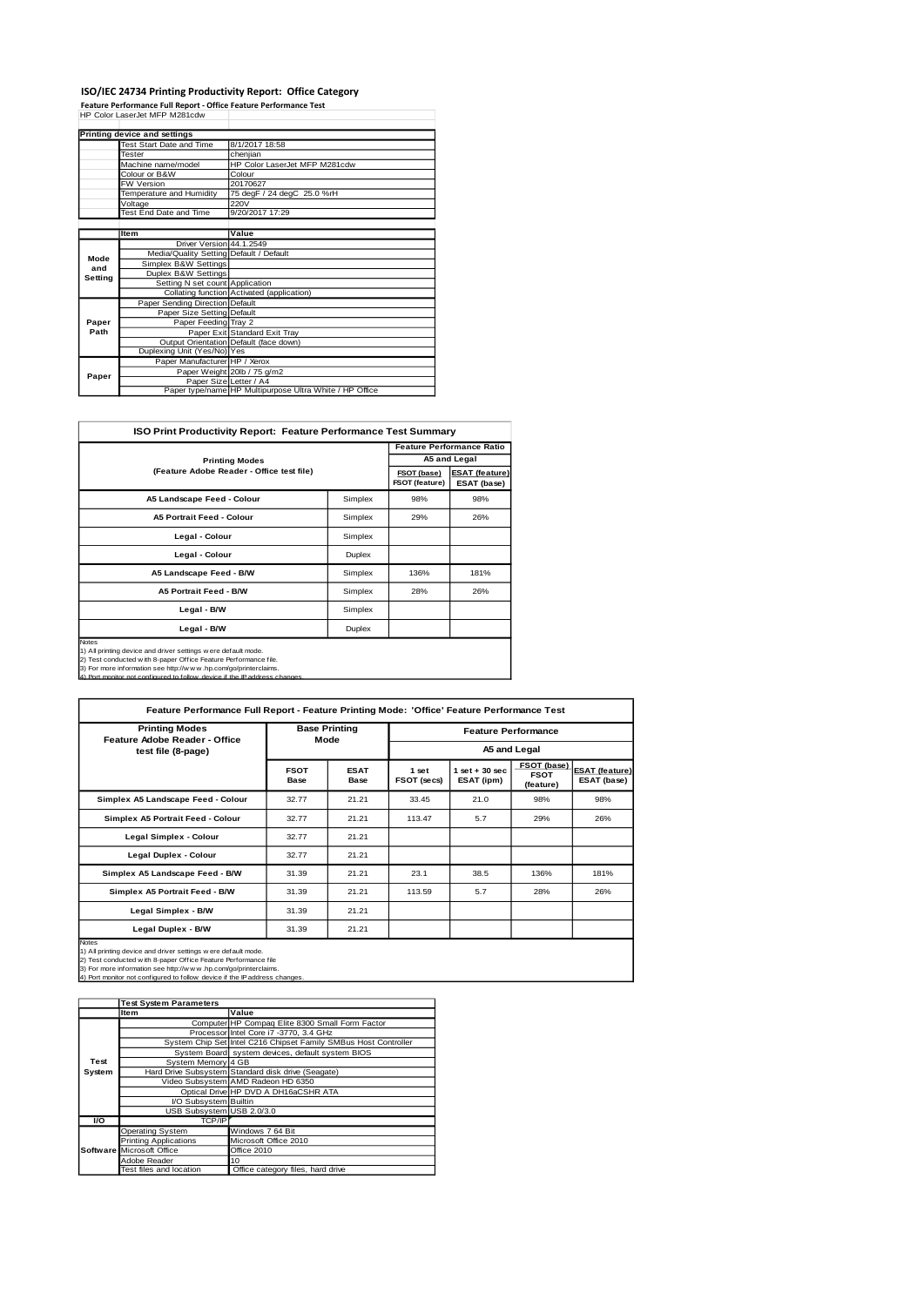**ISO/IEC 24734 Printing Productivity Report: Office Category<br>Feature Performance Full Report - Office Feature Performance Test<br>HP Color LaserJet MFP M281cdw** 

|         | Printing device and settings            |                                                         |
|---------|-----------------------------------------|---------------------------------------------------------|
|         | Test Start Date and Time                | 8/1/2017 18:58                                          |
|         | Tester                                  | cheniian                                                |
|         | Machine name/model                      | HP Color LaserJet MFP M281cdw                           |
|         | Colour or B&W                           | Colour                                                  |
|         | FW Version                              | 20170627                                                |
|         | Temperature and Humidity                | 75 degF / 24 degC 25.0 %rH                              |
|         | Voltage                                 | <b>220V</b>                                             |
|         | Test End Date and Time                  | 9/20/2017 17:29                                         |
|         |                                         |                                                         |
|         | Item                                    | Value                                                   |
|         | Driver Version 44.1.2549                |                                                         |
| Mode    | Media/Quality Setting Default / Default |                                                         |
| and     | Simplex B&W Settings                    |                                                         |
| Setting | Duplex B&W Settings                     |                                                         |
|         | Setting N set count Application         |                                                         |
|         |                                         | Collating function Activated (application)              |
|         | Paper Sending Direction Default         |                                                         |
|         | Paper Size Setting Default              |                                                         |
| Paper   | Paper Feeding Tray 2                    |                                                         |
| Path    |                                         | Paper Exit Standard Exit Tray                           |
|         |                                         | Output Orientation Default (face down)                  |
|         | Duplexing Unit (Yes/No) Yes             |                                                         |
|         | Paper Manufacturer HP / Xerox           |                                                         |
|         |                                         | Paper Weight 20lb / 75 g/m2                             |
| Paper   | Paper Size Letter / A4                  |                                                         |
|         |                                         | Paper type/name HP Multipurpose Ultra White / HP Office |

| <b>ISO Print Productivity Report: Feature Performance Test Summary</b>                                                                                                                                                                                                                              |                               |                                      |                                  |  |  |  |
|-----------------------------------------------------------------------------------------------------------------------------------------------------------------------------------------------------------------------------------------------------------------------------------------------------|-------------------------------|--------------------------------------|----------------------------------|--|--|--|
|                                                                                                                                                                                                                                                                                                     |                               |                                      | <b>Feature Performance Ratio</b> |  |  |  |
| <b>Printing Modes</b>                                                                                                                                                                                                                                                                               |                               | A5 and Legal                         |                                  |  |  |  |
| (Feature Adobe Reader - Office test file)                                                                                                                                                                                                                                                           | FSOT (base)<br>FSOT (feature) | <b>ESAT (feature)</b><br>ESAT (base) |                                  |  |  |  |
| A5 Landscape Feed - Colour                                                                                                                                                                                                                                                                          | Simplex                       | 98%                                  | 98%                              |  |  |  |
| <b>A5 Portrait Feed - Colour</b>                                                                                                                                                                                                                                                                    | Simplex                       | 29%                                  | 26%                              |  |  |  |
| Legal - Colour                                                                                                                                                                                                                                                                                      | Simplex                       |                                      |                                  |  |  |  |
| Legal - Colour                                                                                                                                                                                                                                                                                      | Duplex                        |                                      |                                  |  |  |  |
| A5 Landscape Feed - B/W                                                                                                                                                                                                                                                                             | Simplex                       | 136%                                 | 181%                             |  |  |  |
| A5 Portrait Feed - B/W                                                                                                                                                                                                                                                                              | Simplex                       | 28%                                  | 26%                              |  |  |  |
| Legal - B/W                                                                                                                                                                                                                                                                                         | Simplex                       |                                      |                                  |  |  |  |
| Legal - B/W<br>Duplex                                                                                                                                                                                                                                                                               |                               |                                      |                                  |  |  |  |
| <b>Notes</b><br>1) All printing device and driver settings w ere default mode.<br>2) Test conducted with 8-paper Office Feature Performance file.<br>3) For more information see http://www.hp.com/go/printerclaims.<br>4) Port monitor not configured to follow, device if the IP address changes. |                               |                                      |                                  |  |  |  |

| Feature Performance Full Report - Feature Printing Mode: 'Office' Feature Performance Test                                                                                                                                                                                                         |                              |                            |                            |                                |                                         |                                      |
|----------------------------------------------------------------------------------------------------------------------------------------------------------------------------------------------------------------------------------------------------------------------------------------------------|------------------------------|----------------------------|----------------------------|--------------------------------|-----------------------------------------|--------------------------------------|
| <b>Printing Modes</b><br>Feature Adobe Reader - Office                                                                                                                                                                                                                                             | <b>Base Printing</b><br>Mode |                            | <b>Feature Performance</b> |                                |                                         |                                      |
| test file (8-page)                                                                                                                                                                                                                                                                                 |                              |                            | A5 and Legal               |                                |                                         |                                      |
|                                                                                                                                                                                                                                                                                                    | <b>FSOT</b><br><b>Base</b>   | <b>ESAT</b><br><b>Base</b> | 1 set<br>FSOT (secs)       | $1$ set + 30 sec<br>ESAT (ipm) | FSOT (base)<br><b>FSOT</b><br>(feature) | <b>ESAT (feature)</b><br>ESAT (base) |
| Simplex A5 Landscape Feed - Colour                                                                                                                                                                                                                                                                 | 32.77                        | 21.21                      | 33.45                      | 21.0                           | 98%                                     | 98%                                  |
| Simplex A5 Portrait Feed - Colour                                                                                                                                                                                                                                                                  | 32.77                        | 21.21                      | 113.47                     | 5.7                            | 29%                                     | 26%                                  |
| Legal Simplex - Colour                                                                                                                                                                                                                                                                             | 32.77                        | 21.21                      |                            |                                |                                         |                                      |
| Legal Duplex - Colour                                                                                                                                                                                                                                                                              | 32.77                        | 21.21                      |                            |                                |                                         |                                      |
| Simplex A5 Landscape Feed - B/W                                                                                                                                                                                                                                                                    | 31.39                        | 21.21                      | 23.1                       | 38.5                           | 136%                                    | 181%                                 |
| Simplex A5 Portrait Feed - B/W                                                                                                                                                                                                                                                                     | 31.39                        | 21.21                      | 113.59                     | 5.7                            | 28%                                     | 26%                                  |
| Legal Simplex - B/W                                                                                                                                                                                                                                                                                | 31.39                        | 21.21                      |                            |                                |                                         |                                      |
| Legal Duplex - B/W                                                                                                                                                                                                                                                                                 | 31.39                        | 21.21                      |                            |                                |                                         |                                      |
| <b>Notes</b><br>1) All printing device and driver settings w ere default mode.<br>2) Test conducted w ith 8-paper Office Feature Performance file<br>3) For more information see http://www.hp.com/go/printerclaims.<br>4) Port monitor not configured to follow device if the IP address changes. |                              |                            |                            |                                |                                         |                                      |

|           | <b>Test System Parameters</b> |                                                                 |
|-----------|-------------------------------|-----------------------------------------------------------------|
|           | Item                          | Value                                                           |
|           |                               | Computer HP Compaq Elite 8300 Small Form Factor                 |
|           |                               | Processor Intel Core i7 -3770, 3.4 GHz                          |
|           |                               | System Chip Set Intel C216 Chipset Family SMBus Host Controller |
|           |                               | System Board system devices, default system BIOS                |
| Test      | System Memory 4 GB            |                                                                 |
| System    |                               | Hard Drive Subsystem Standard disk drive (Seagate)              |
|           |                               | Video Subsystem AMD Radeon HD 6350                              |
|           |                               | Optical Drive HP DVD A DH16aCSHR ATA                            |
|           | I/O Subsystem Builtin         |                                                                 |
|           | USB Subsystem USB 2.0/3.0     |                                                                 |
| <b>VO</b> | <b>TCP/IP</b>                 |                                                                 |
|           | Operating System              | Windows 7 64 Bit                                                |
|           | <b>Printing Applications</b>  | Microsoft Office 2010                                           |
|           | Software Microsoft Office     | Office 2010                                                     |
|           | Adobe Reader                  | 10                                                              |
|           | Test files and location       | Office category files, hard drive                               |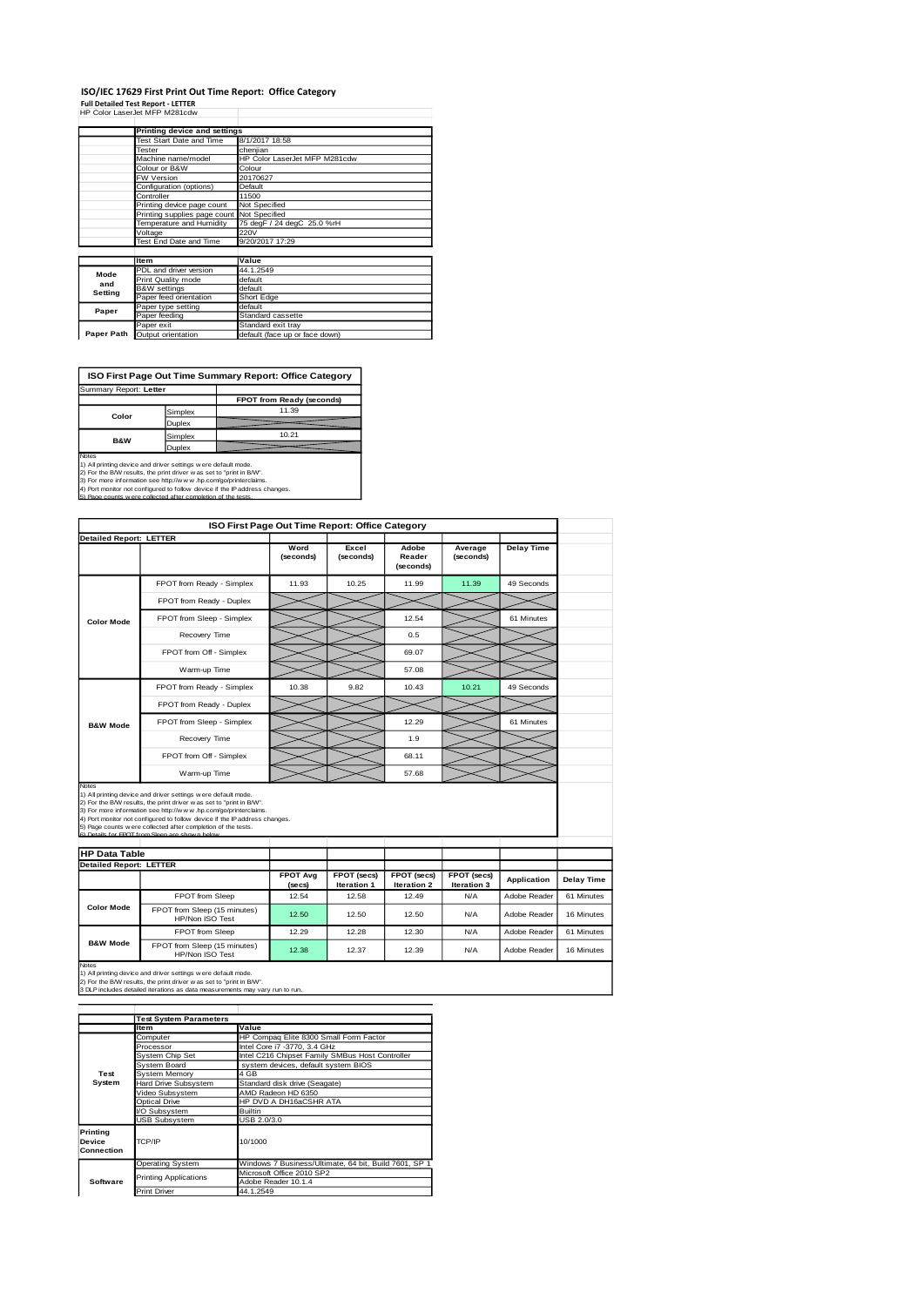#### **ISO/IEC 17629 First Print Out Time Report: Office Category Full Detailed Test Report - LETTER**

| Full Detailed Test Report - LETTER |  |
|------------------------------------|--|
| HP Color LaserJet MFP M281cdw      |  |

|            | Printing device and settings               |                                |  |  |
|------------|--------------------------------------------|--------------------------------|--|--|
|            | <b>Test Start Date and Time</b>            | 8/1/2017 18:58                 |  |  |
|            | Tester                                     | chenjian                       |  |  |
|            | Machine name/model                         | HP Color LaserJet MFP M281cdw  |  |  |
|            | Colour or B&W                              | Colour                         |  |  |
|            | <b>FW Version</b>                          | 20170627                       |  |  |
|            | Configuration (options)                    | Default                        |  |  |
|            | Controller                                 | 11500                          |  |  |
|            | Printing device page count                 | Not Specified                  |  |  |
|            | Printing supplies page count Not Specified |                                |  |  |
|            | Temperature and Humidity                   | 75 degF / 24 degC 25.0 %rH     |  |  |
|            | Voltage                                    | 220V                           |  |  |
|            | Test End Date and Time                     | 9/20/2017 17:29                |  |  |
|            |                                            |                                |  |  |
|            | <b>Item</b>                                | Value                          |  |  |
| Mode       | PDL and driver version                     | 44.1.2549                      |  |  |
| and        | Print Quality mode                         | default                        |  |  |
| Setting    | <b>B&amp;W</b> settings                    | default                        |  |  |
|            | Paper feed orientation                     | Short Edge                     |  |  |
| Paper      | Paper type setting                         | default                        |  |  |
|            | Paper feeding                              | Standard cassette              |  |  |
|            | Paper exit                                 | Standard exit tray             |  |  |
| Paper Path | Output orientation                         | default (face up or face down) |  |  |

**FPOT from Ready (s)** Simplex 11.39 Duplex Simplex 10.21 **Duplex ISO First Page Out Time Summary Report: Office Category** Summary Report: **Letter Color B&W**

Notes<br>1) All printing device and driver settings were default mode.<br>2) For the BAV results, the print driver was ast to "print in BVV".<br>3) For more information see http://www.hp.com/go/printerclaims.<br>4) Port monitor not co

|                                |                                                                                                                                                                                                                                                                                                                                                                                                         |                           | ISO First Page Out Time Report: Office Category |                              |                            |                   |            |
|--------------------------------|---------------------------------------------------------------------------------------------------------------------------------------------------------------------------------------------------------------------------------------------------------------------------------------------------------------------------------------------------------------------------------------------------------|---------------------------|-------------------------------------------------|------------------------------|----------------------------|-------------------|------------|
|                                | <b>Detailed Report: LETTER</b>                                                                                                                                                                                                                                                                                                                                                                          |                           |                                                 |                              |                            |                   |            |
|                                |                                                                                                                                                                                                                                                                                                                                                                                                         | Word<br>(seconds)         | Excel<br>(seconds)                              | Adobe<br>Reader<br>(seconds) | Average<br>(seconds)       | <b>Delay Time</b> |            |
|                                | FPOT from Ready - Simplex                                                                                                                                                                                                                                                                                                                                                                               | 11.93                     | 10.25                                           | 11.99                        | 11.39                      | 49 Seconds        |            |
|                                | FPOT from Ready - Duplex                                                                                                                                                                                                                                                                                                                                                                                |                           |                                                 |                              |                            |                   |            |
| <b>Color Mode</b>              | FPOT from Sleep - Simplex                                                                                                                                                                                                                                                                                                                                                                               |                           |                                                 | 12.54                        |                            | 61 Minutes        |            |
|                                | Recovery Time                                                                                                                                                                                                                                                                                                                                                                                           |                           |                                                 | 0.5                          |                            |                   |            |
|                                | FPOT from Off - Simplex                                                                                                                                                                                                                                                                                                                                                                                 |                           |                                                 | 69.07                        |                            |                   |            |
|                                | Warm-up Time                                                                                                                                                                                                                                                                                                                                                                                            |                           |                                                 | 57.08                        |                            |                   |            |
|                                | FPOT from Ready - Simplex                                                                                                                                                                                                                                                                                                                                                                               | 10.38                     | 9.82                                            | 10.43                        | 10.21                      | 49 Seconds        |            |
|                                | FPOT from Ready - Duplex                                                                                                                                                                                                                                                                                                                                                                                |                           |                                                 |                              |                            |                   |            |
| <b>B&amp;W Mode</b>            | FPOT from Sleep - Simplex                                                                                                                                                                                                                                                                                                                                                                               |                           |                                                 | 12.29                        |                            | 61 Minutes        |            |
|                                | Recovery Time                                                                                                                                                                                                                                                                                                                                                                                           |                           |                                                 | 1.9                          |                            |                   |            |
|                                | FPOT from Off - Simplex                                                                                                                                                                                                                                                                                                                                                                                 |                           |                                                 | 68.11                        |                            |                   |            |
|                                |                                                                                                                                                                                                                                                                                                                                                                                                         |                           |                                                 |                              |                            |                   |            |
|                                | Warm-up Time                                                                                                                                                                                                                                                                                                                                                                                            |                           |                                                 | 57.68                        |                            |                   |            |
| Notes                          | 1) All printing device and driver settings were default mode.<br>2) For the B/W results, the print driver was set to "print in B/W".<br>3) For more information see http://www.hp.com/go/printerclaims.<br>4) Port monitor not configured to follow device if the IP address changes.<br>5) Page counts were collected after completion of the tests.<br>6) Detaile for EDOT from Sloop are shown below |                           |                                                 |                              |                            |                   |            |
| <b>HP Data Table</b>           |                                                                                                                                                                                                                                                                                                                                                                                                         |                           |                                                 |                              |                            |                   |            |
|                                |                                                                                                                                                                                                                                                                                                                                                                                                         |                           |                                                 |                              |                            |                   |            |
| <b>Detailed Report: LETTER</b> |                                                                                                                                                                                                                                                                                                                                                                                                         | <b>FPOT Avg</b><br>(secs) | FPOT (secs)<br>Iteration 1                      | FPOT (secs)<br>Iteration 2   | FPOT (secs)<br>Iteration 3 | Application       | Delay Time |
|                                | <b>FPOT</b> from Sleep                                                                                                                                                                                                                                                                                                                                                                                  | 12.54                     | 12.58                                           | 12.49                        | N/A                        | Adobe Reader      | 61 Minutes |
| <b>Color Mode</b>              | FPOT from Sleep (15 minutes)<br>HP/Non ISO Test                                                                                                                                                                                                                                                                                                                                                         | 12.50                     | 12.50                                           | 12.50                        | N/A                        | Adobe Reader      | 16 Minutes |
|                                | FPOT from Sleep                                                                                                                                                                                                                                                                                                                                                                                         | 12.29                     | 12.28                                           | 12.30                        | <b>N/A</b>                 | Adobe Reader      | 61 Minutes |

Notes<br>1) All printing device and driver settings w ere default mode.<br>2) For the B/W results, the print driver w as set to "print in B/W".<br>3 DLP includes detailed iterations as data measurements may vary run to run.

|                      | <b>Test System Parameters</b> |                                                       |  |  |
|----------------------|-------------------------------|-------------------------------------------------------|--|--|
|                      | Item                          | Value                                                 |  |  |
|                      | Computer                      | HP Compaq Elite 8300 Small Form Factor                |  |  |
|                      | Processor                     | Intel Core i7 -3770, 3.4 GHz                          |  |  |
|                      | System Chip Set               | Intel C216 Chipset Family SMBus Host Controller       |  |  |
|                      | System Board                  | system devices, default system BIOS                   |  |  |
| Test                 | <b>System Memory</b>          | 4 GB                                                  |  |  |
| System               | Hard Drive Subsystem          | Standard disk drive (Seagate)                         |  |  |
|                      | Video Subsystem               | AMD Radeon HD 6350                                    |  |  |
|                      | Optical Drive                 | HP DVD A DH16aCSHR ATA                                |  |  |
|                      | VO Subsystem                  | <b>Builtin</b>                                        |  |  |
|                      | <b>USB Subsystem</b>          | USB 2.0/3.0                                           |  |  |
| Printing             | TCP/IP                        | 10/1000                                               |  |  |
| Device<br>Connection |                               |                                                       |  |  |
|                      |                               |                                                       |  |  |
|                      | <b>Operating System</b>       | Windows 7 Business/Ultimate, 64 bit, Build 7601, SP 1 |  |  |
|                      | <b>Printing Applications</b>  | Microsoft Office 2010 SP2                             |  |  |
| Software             |                               | Adobe Reader 10.1.4                                   |  |  |
|                      | <b>Print Driver</b>           | 44.1.2549                                             |  |  |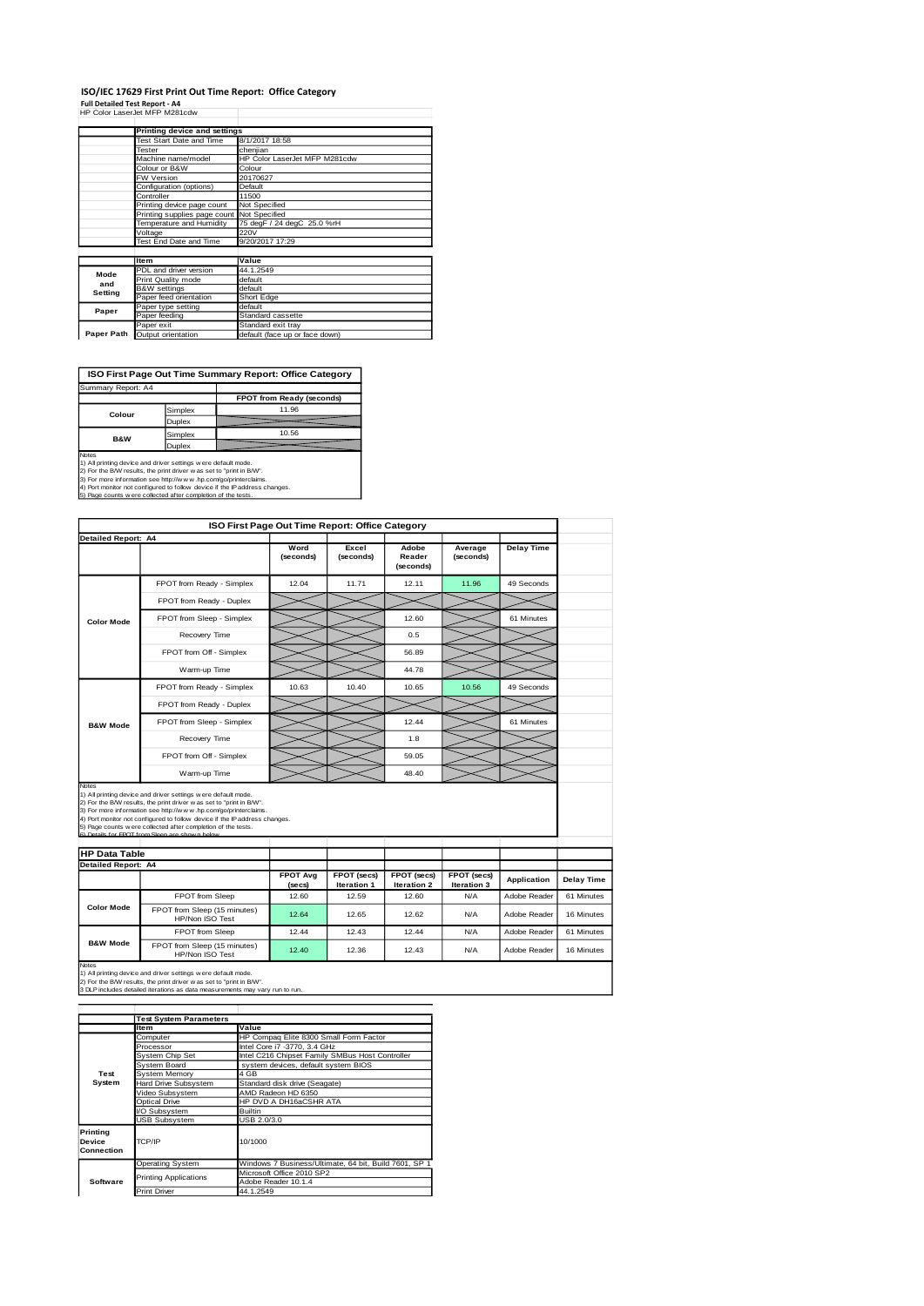### **ISO/IEC 17629 First Print Out Time Report: Office Category**

**Full Detailed Test Report - A4** HP Color LaserJet MFP M281cdw

|            | Printing device and settings               |                                |  |  |
|------------|--------------------------------------------|--------------------------------|--|--|
|            | Test Start Date and Time                   | 8/1/2017 18:58                 |  |  |
|            | Tester                                     | chenjian                       |  |  |
|            | Machine name/model                         | HP Color LaserJet MFP M281cdw  |  |  |
|            | Colour or B&W                              | Colour                         |  |  |
|            | <b>FW Version</b>                          | 20170627                       |  |  |
|            | Configuration (options)                    | Default                        |  |  |
|            | Controller                                 | 11500                          |  |  |
|            | Printing device page count                 | Not Specified                  |  |  |
|            | Printing supplies page count Not Specified |                                |  |  |
|            | Temperature and Humidity                   | 75 degF / 24 degC 25.0 %rH     |  |  |
|            | Voltage                                    | 220V                           |  |  |
|            | Test End Date and Time                     | 9/20/2017 17:29                |  |  |
|            |                                            |                                |  |  |
|            | <b>Item</b>                                | Value                          |  |  |
| Mode       | PDL and driver version                     | 44.1.2549                      |  |  |
| and        | Print Quality mode                         | default                        |  |  |
| Setting    | <b>B&amp;W</b> settings                    | default                        |  |  |
|            | Paper feed orientation                     | Short Edge                     |  |  |
| Paper      | Paper type setting                         | default                        |  |  |
|            | Paper feeding                              | Standard cassette              |  |  |
|            | Paper exit                                 | Standard exit tray             |  |  |
| Paper Path | Output orientation                         | default (face up or face down) |  |  |

**ISO First Page Out Time Summary Report: Office Category**

| Summary Report: A4 |         |                           |
|--------------------|---------|---------------------------|
|                    |         | FPOT from Ready (seconds) |
| Colour             | Simplex | 11.96                     |
|                    | Duplex  |                           |
| <b>B&amp;W</b>     | Simplex | 10.56                     |
|                    | Duplex  |                           |

Notes<br>
Notes<br>
1) All primiting device and driver settings were default mode.<br>
2) For the BAW results, the print driver was as to "print in BAW".<br>
4) For more information see http://www.hp.com/go/printerciaims.<br>
4) Port mon

|                            | ISO First Page Out Time Report: Office Category                                                                                                                                                                                                                                                                                                                                          |                           |                                   |                              |                            |                   |                   |
|----------------------------|------------------------------------------------------------------------------------------------------------------------------------------------------------------------------------------------------------------------------------------------------------------------------------------------------------------------------------------------------------------------------------------|---------------------------|-----------------------------------|------------------------------|----------------------------|-------------------|-------------------|
| <b>Detailed Report: A4</b> |                                                                                                                                                                                                                                                                                                                                                                                          | Word<br>(seconds)         | Excel<br>(seconds)                | Adobe<br>Reader<br>(seconds) | Average<br>(seconds)       | <b>Delay Time</b> |                   |
|                            | FPOT from Ready - Simplex                                                                                                                                                                                                                                                                                                                                                                | 12.04                     | 11.71                             | 12.11                        | 11.96                      | 49 Seconds        |                   |
|                            | FPOT from Ready - Duplex                                                                                                                                                                                                                                                                                                                                                                 |                           |                                   |                              |                            |                   |                   |
| <b>Color Mode</b>          | FPOT from Sleep - Simplex                                                                                                                                                                                                                                                                                                                                                                |                           |                                   | 12.60                        |                            | 61 Minutes        |                   |
|                            | Recovery Time                                                                                                                                                                                                                                                                                                                                                                            |                           |                                   | 0.5                          |                            |                   |                   |
|                            | FPOT from Off - Simplex                                                                                                                                                                                                                                                                                                                                                                  |                           |                                   | 56.89                        |                            |                   |                   |
|                            | Warm-up Time                                                                                                                                                                                                                                                                                                                                                                             |                           |                                   | 44.78                        |                            |                   |                   |
|                            | FPOT from Ready - Simplex                                                                                                                                                                                                                                                                                                                                                                | 10.63                     | 10.40                             | 10.65                        | 10.56                      | 49 Seconds        |                   |
|                            | FPOT from Ready - Duplex                                                                                                                                                                                                                                                                                                                                                                 |                           |                                   |                              |                            |                   |                   |
| <b>B&amp;W Mode</b>        | FPOT from Sleep - Simplex                                                                                                                                                                                                                                                                                                                                                                |                           |                                   | 12.44                        |                            | 61 Minutes        |                   |
|                            | Recovery Time                                                                                                                                                                                                                                                                                                                                                                            |                           |                                   | 1.8                          |                            |                   |                   |
|                            | FPOT from Off - Simplex                                                                                                                                                                                                                                                                                                                                                                  |                           |                                   | 59.05                        |                            |                   |                   |
|                            | Warm-up Time                                                                                                                                                                                                                                                                                                                                                                             |                           |                                   | 48.40                        |                            |                   |                   |
| Notes                      | 1) All printing device and driver settings were default mode.<br>2) For the B/W results, the print driver was set to "print in B/W".<br>3) For more information see http://www.hp.com/go/printerclaims.<br>4) Port monitor not configured to follow device if the IP address changes.<br>5) Page counts w ere collected after completion of the tests.<br><b>Los EDOT from Close org</b> |                           |                                   |                              |                            |                   |                   |
| <b>HP Data Table</b>       |                                                                                                                                                                                                                                                                                                                                                                                          |                           |                                   |                              |                            |                   |                   |
| <b>Detailed Report: A4</b> |                                                                                                                                                                                                                                                                                                                                                                                          | <b>FPOT Avg</b><br>(secs) | FPOT (secs)<br><b>Iteration 1</b> | FPOT (secs)<br>Iteration 2   | FPOT (secs)<br>Iteration 3 | Application       | <b>Delay Time</b> |
|                            | FPOT from Sleep                                                                                                                                                                                                                                                                                                                                                                          | 12.60                     | 12.59                             | 12.60                        | <b>N/A</b>                 | Adobe Reader      | 61 Minutes        |
| <b>Color Mode</b>          | FPOT from Sleep (15 minutes)<br>HP/Non ISO Test                                                                                                                                                                                                                                                                                                                                          | 12.64                     | 12.65                             | 12.62                        | N/A                        | Adobe Reader      | 16 Minutes        |
|                            | FPOT from Sleep                                                                                                                                                                                                                                                                                                                                                                          | 12.44                     | 12.43                             | 12.44                        | N/A                        | Adobe Reader      | 61 Minutes        |
| <b>B&amp;W Mode</b>        | FPOT from Sleep (15 minutes)<br>HP/Non ISO Test                                                                                                                                                                                                                                                                                                                                          | 12.40                     | 12.36                             | 12.43                        | N/A                        | Adobe Reader      | 16 Minutes        |
|                            |                                                                                                                                                                                                                                                                                                                                                                                          |                           |                                   |                              |                            |                   |                   |

Notes<br>1) All printing device and driver settings w ere default mode.<br>2) For the B/W results, the print driver w as set to "print in B/W".<br>3 DLP includes detailed iterations as data measurements may vary run to run.

|                                         | <b>Test System Parameters</b> |                                                       |  |  |  |
|-----------------------------------------|-------------------------------|-------------------------------------------------------|--|--|--|
|                                         | Item                          | Value                                                 |  |  |  |
|                                         | Computer                      | HP Compag Elite 8300 Small Form Factor                |  |  |  |
|                                         | Processor                     | Intel Core i7 -3770, 3.4 GHz                          |  |  |  |
|                                         | System Chip Set               | Intel C216 Chipset Family SMBus Host Controller       |  |  |  |
|                                         | System Board                  | system devices, default system BIOS                   |  |  |  |
| Test                                    | System Memory                 | 4 GB                                                  |  |  |  |
| System                                  | Hard Drive Subsystem          | Standard disk drive (Seagate)                         |  |  |  |
|                                         | Video Subsystem               | AMD Radeon HD 6350                                    |  |  |  |
|                                         | Optical Drive                 | HP DVD A DH16aCSHR ATA                                |  |  |  |
|                                         | VO Subsystem                  | <b>Builtin</b>                                        |  |  |  |
|                                         | <b>USB Subsystem</b>          | USB 2.0/3.0                                           |  |  |  |
| Printing<br><b>Device</b><br>Connection | TCP/IP                        | 10/1000                                               |  |  |  |
|                                         | <b>Operating System</b>       | Windows 7 Business/Ultimate, 64 bit, Build 7601, SP 1 |  |  |  |
|                                         | <b>Printing Applications</b>  | Microsoft Office 2010 SP2                             |  |  |  |
| Software                                |                               | Adobe Reader 10.1.4                                   |  |  |  |
|                                         | <b>Print Driver</b>           | 44.1.2549                                             |  |  |  |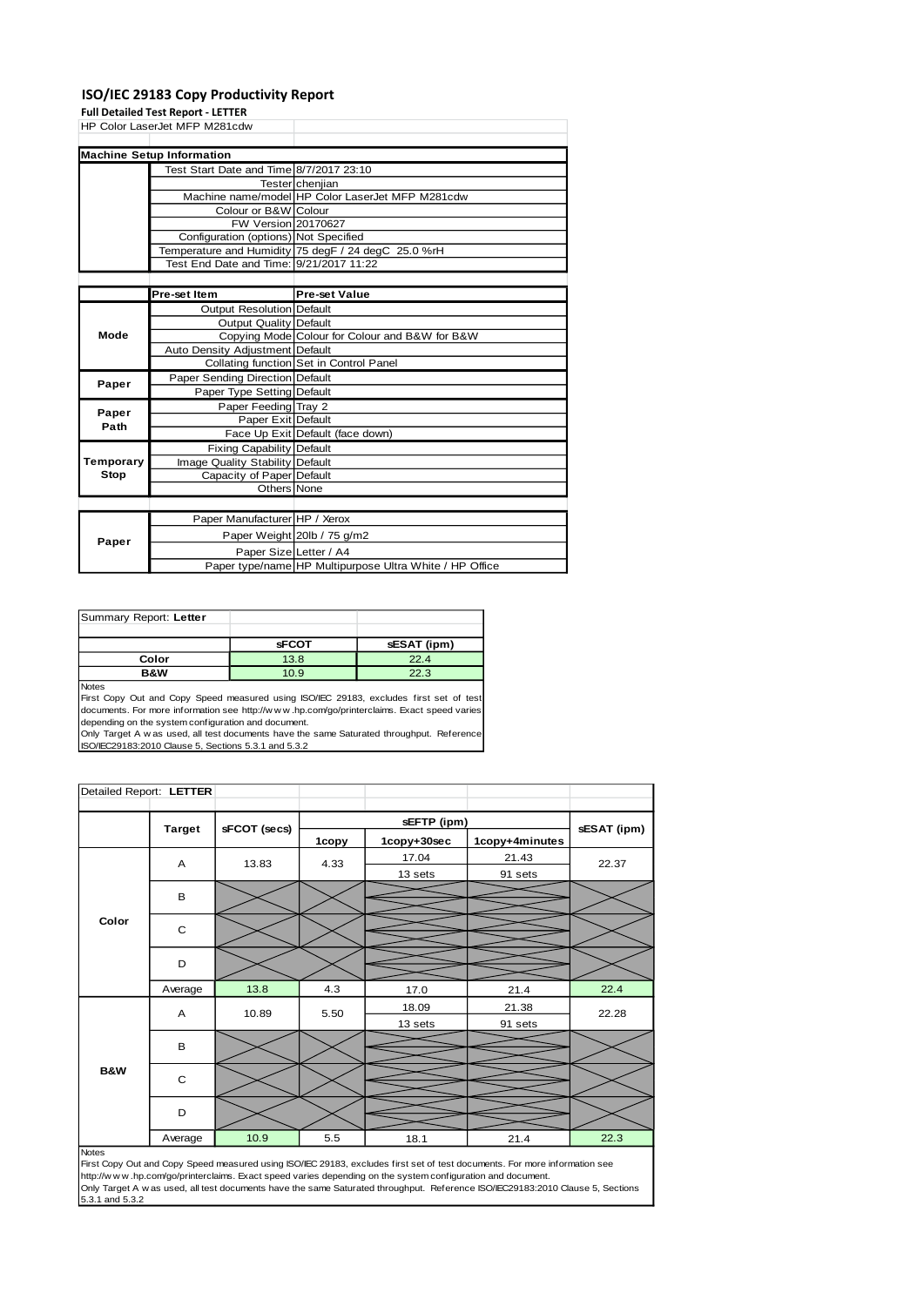#### **ISO/IEC 29183 Copy Productivity Report**

**Full Detailed Test Report - LETTER**

HP Color LaserJet MFP M281cdw

| <b>Machine Setup Information</b>        |                                                     |
|-----------------------------------------|-----------------------------------------------------|
| Test Start Date and Time 8/7/2017 23:10 |                                                     |
|                                         | TesterIcheniian                                     |
|                                         | Machine name/model HP Color LaserJet MFP M281cdw    |
| Colour or B&W Colour                    |                                                     |
| FW Version 20170627                     |                                                     |
| Configuration (options) Not Specified   |                                                     |
|                                         | Temperature and Humidity 75 degF / 24 degC 25.0 %rH |
| Test End Date and Time: 9/21/2017 11:22 |                                                     |
|                                         |                                                     |

|               | Pre-set Item                     | <b>Pre-set Value</b>                                    |
|---------------|----------------------------------|---------------------------------------------------------|
|               | Output Resolution Default        |                                                         |
|               | <b>Output Quality Default</b>    |                                                         |
| Mode          |                                  | Copying Mode Colour for Colour and B&W for B&W          |
|               | Auto Density Adjustment Default  |                                                         |
|               |                                  | Collating function Set in Control Panel                 |
| Paper         | Paper Sending Direction Default  |                                                         |
|               | Paper Type Setting Default       |                                                         |
|               | Paper Feeding Tray 2             |                                                         |
| Paper<br>Path | Paper Exit Default               |                                                         |
|               |                                  | Face Up Exit Default (face down)                        |
|               | <b>Fixing Capability Default</b> |                                                         |
| Temporary     | Image Quality Stability Default  |                                                         |
| Stop          | Capacity of Paper Default        |                                                         |
|               | Others None                      |                                                         |
|               |                                  |                                                         |
|               | Paper Manufacturer HP / Xerox    |                                                         |
|               |                                  | Paper Weight 20lb / 75 g/m2                             |
| Paper         | Paper Size Letter / A4           |                                                         |
|               |                                  | Paper type/name HP Multipurpose Ultra White / HP Office |

| Summary Report: Letter |              |             |
|------------------------|--------------|-------------|
|                        |              |             |
|                        | <b>sFCOT</b> | sESAT (ipm) |
| Color                  | 13.8         | 22.4        |
| B&W                    | 10.9         | 22.3        |
| <b>Noton</b>           |              |             |

Notes<br>First Copy Out and Copy Speed measured using ISO/IEC 29183, excludes first set of test<br>documents. For more information see http://w.w.w..hp.com/go/printerclaims. Exact speed varies depending on the system configuration and document.

Only Target A w as used, all test documents have the same Saturated throughput. Reference ISO/IEC29183:2010 Clause 5, Sections 5.3.1 and 5.3.2

| Detailed Report: LETTER |                |              |       |             |                |             |
|-------------------------|----------------|--------------|-------|-------------|----------------|-------------|
|                         | <b>Target</b>  | sFCOT (secs) |       | sEFTP (ipm) |                | sESAT (ipm) |
|                         |                |              | 1copy | 1copy+30sec | 1copy+4minutes |             |
|                         | A              | 13.83        | 4.33  | 17.04       | 21.43          | 22.37       |
|                         |                |              |       | 13 sets     | 91 sets        |             |
|                         | B              |              |       |             |                |             |
|                         |                |              |       |             |                |             |
| Color                   | C              |              |       |             |                |             |
|                         |                |              |       |             |                |             |
|                         | D              |              |       |             |                |             |
|                         | Average        | 13.8         | 4.3   |             |                | 22.4        |
|                         |                |              |       | 17.0        | 21.4           |             |
|                         | $\overline{A}$ | 10.89        | 5.50  | 18.09       | 21.38          | 22.28       |
|                         |                |              |       | 13 sets     | 91 sets        |             |
|                         | $\sf B$        |              |       |             |                |             |
| <b>B&amp;W</b>          |                |              |       |             |                |             |
|                         | C              |              |       |             |                |             |
|                         |                |              |       |             |                |             |
|                         | D              |              |       |             |                |             |
|                         | Average        | 10.9         | 5.5   | 18.1        | 21.4           | 22.3        |
| <b>Notas</b>            |                |              |       |             |                |             |

Notes<br>First Copy Out and Copy Speed measured using ISO/IEC 29183, excludes first set of test documents. For more information see<br>http://w w w .hp.com/go/printerclaims. Exact speed varies depending on the system configurati Only Target A w as used, all test documents have the same Saturated throughput. Reference ISO/IEC29183:2010 Clause 5, Sections 5.3.1 and 5.3.2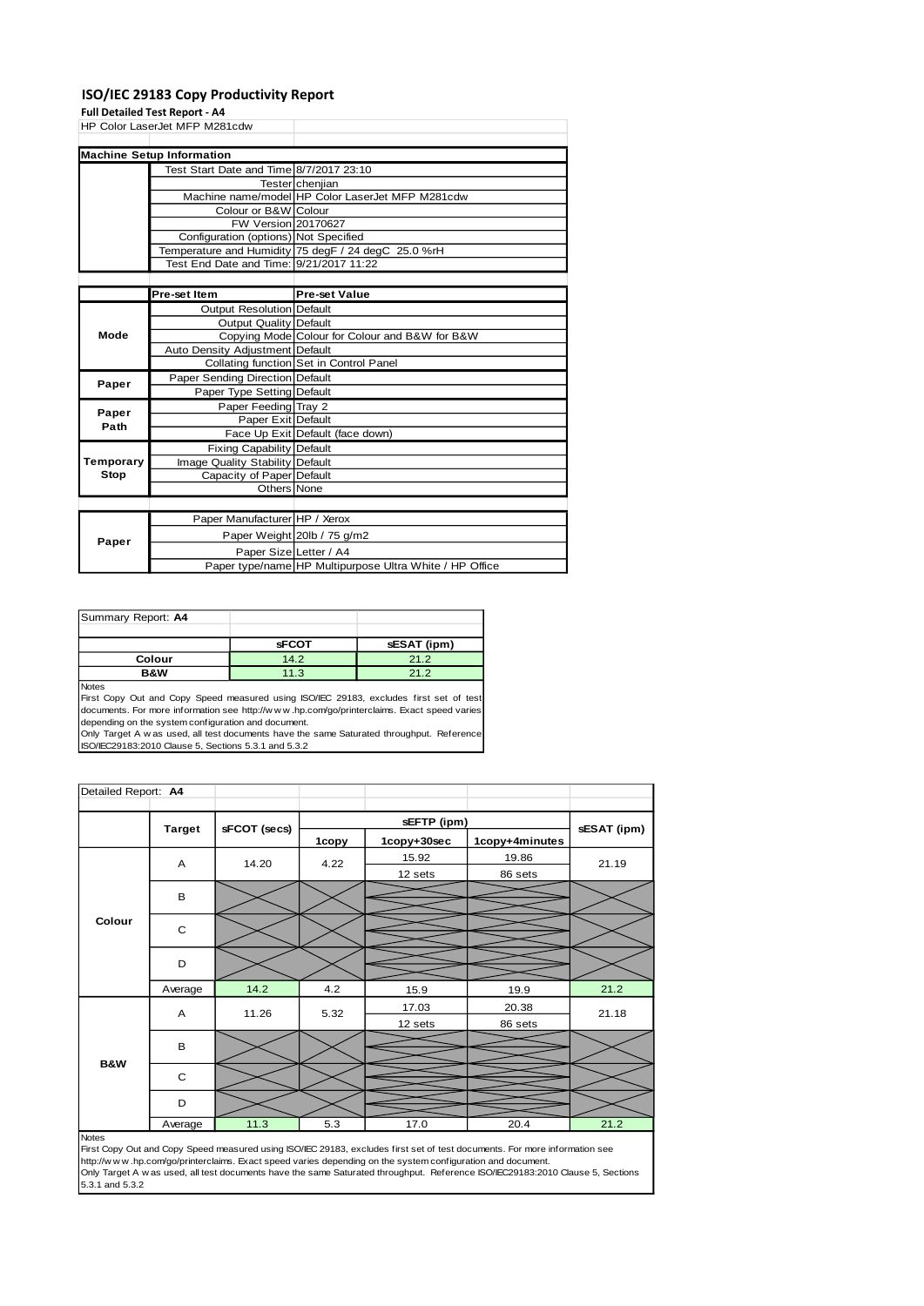#### **ISO/IEC 29183 Copy Productivity Report**

#### **Full Detailed Test Report - A4**

HP Color LaserJet MFP M281cdw

|  | <b>Machine Setup Information</b>        |                                                     |
|--|-----------------------------------------|-----------------------------------------------------|
|  | Test Start Date and Time 8/7/2017 23:10 |                                                     |
|  |                                         | Tester chenjian                                     |
|  |                                         | Machine name/model HP Color LaserJet MFP M281cdw    |
|  | Colour or B&W Colour                    |                                                     |
|  | FW Version 20170627                     |                                                     |
|  | Configuration (options) Not Specified   |                                                     |
|  |                                         | Temperature and Humidity 75 degF / 24 degC 25.0 %rH |
|  | Test End Date and Time: 9/21/2017 11:22 |                                                     |
|  |                                         |                                                     |

|           | Pre-set Item                     | <b>Pre-set Value</b>                                    |
|-----------|----------------------------------|---------------------------------------------------------|
|           | <b>Output Resolution Default</b> |                                                         |
|           | Output Quality Default           |                                                         |
| Mode      |                                  | Copying Mode Colour for Colour and B&W for B&W          |
|           | Auto Density Adjustment Default  |                                                         |
|           |                                  | Collating function Set in Control Panel                 |
| Paper     | Paper Sending Direction Default  |                                                         |
|           | Paper Type Setting Default       |                                                         |
| Paper     | Paper Feeding Tray 2             |                                                         |
| Path      | Paper Exit Default               |                                                         |
|           |                                  | Face Up Exit Default (face down)                        |
|           | <b>Fixing Capability Default</b> |                                                         |
| Temporary | Image Quality Stability Default  |                                                         |
| Stop      | Capacity of Paper Default        |                                                         |
|           | Others None                      |                                                         |
|           |                                  |                                                         |
|           | Paper Manufacturer HP / Xerox    |                                                         |
|           |                                  | Paper Weight 20lb / 75 g/m2                             |
| Paper     | Paper Size Letter / A4           |                                                         |
|           |                                  | Paper type/name HP Multipurpose Ultra White / HP Office |

| Summary Report: A4 |              |             |
|--------------------|--------------|-------------|
|                    |              |             |
|                    | <b>sFCOT</b> | sESAT (ipm) |
| Colour             | 14.2         | 21.2        |
| B&W                | 11.3         | 21.2        |
| $N = 4 - 1$        |              |             |

Notes<br>First Copy Out and Copy Speed measured using ISO/IEC 29183, excludes first set of test<br>documents. For more information see http://w.w.w..hp.com/go/printerclaims. Exact speed varies depending on the system configuration and document.

Only Target A w as used, all test documents have the same Saturated throughput. Reference ISO/IEC29183:2010 Clause 5, Sections 5.3.1 and 5.3.2

| Detailed Report: A4 |                               |       |       |             |                |             |  |  |
|---------------------|-------------------------------|-------|-------|-------------|----------------|-------------|--|--|
|                     |                               |       |       | sEFTP (ipm) |                |             |  |  |
|                     | <b>Target</b><br>sFCOT (secs) |       | 1copy | 1copy+30sec | 1copy+4minutes | sESAT (ipm) |  |  |
|                     | A                             | 14.20 | 4.22  | 15.92       | 19.86          | 21.19       |  |  |
|                     |                               |       |       | 12 sets     | 86 sets        |             |  |  |
|                     | B                             |       |       |             |                |             |  |  |
| Colour              | C                             |       |       |             |                |             |  |  |
|                     | D                             |       |       |             |                |             |  |  |
|                     | Average                       | 14.2  | 4.2   | 15.9        | 19.9           | 21.2        |  |  |
|                     | A                             | 11.26 | 5.32  | 17.03       | 20.38          | 21.18       |  |  |
|                     |                               |       |       | 12 sets     | 86 sets        |             |  |  |
|                     | B                             |       |       |             |                |             |  |  |
| <b>B&amp;W</b>      | C                             |       |       |             |                |             |  |  |
|                     | D                             |       |       |             |                |             |  |  |
|                     | Average                       | 11.3  | 5.3   | 17.0        | 20.4           | 21.2        |  |  |

First Copy Out and Copy Speed measured using ISO/IEC 29183, excludes first set of test documents. For more information see<br>http://w w w. hp.com/go/printerclaims. Exact speed varies depending on the system configuration and  $5.3.1$  and  $5.3.2$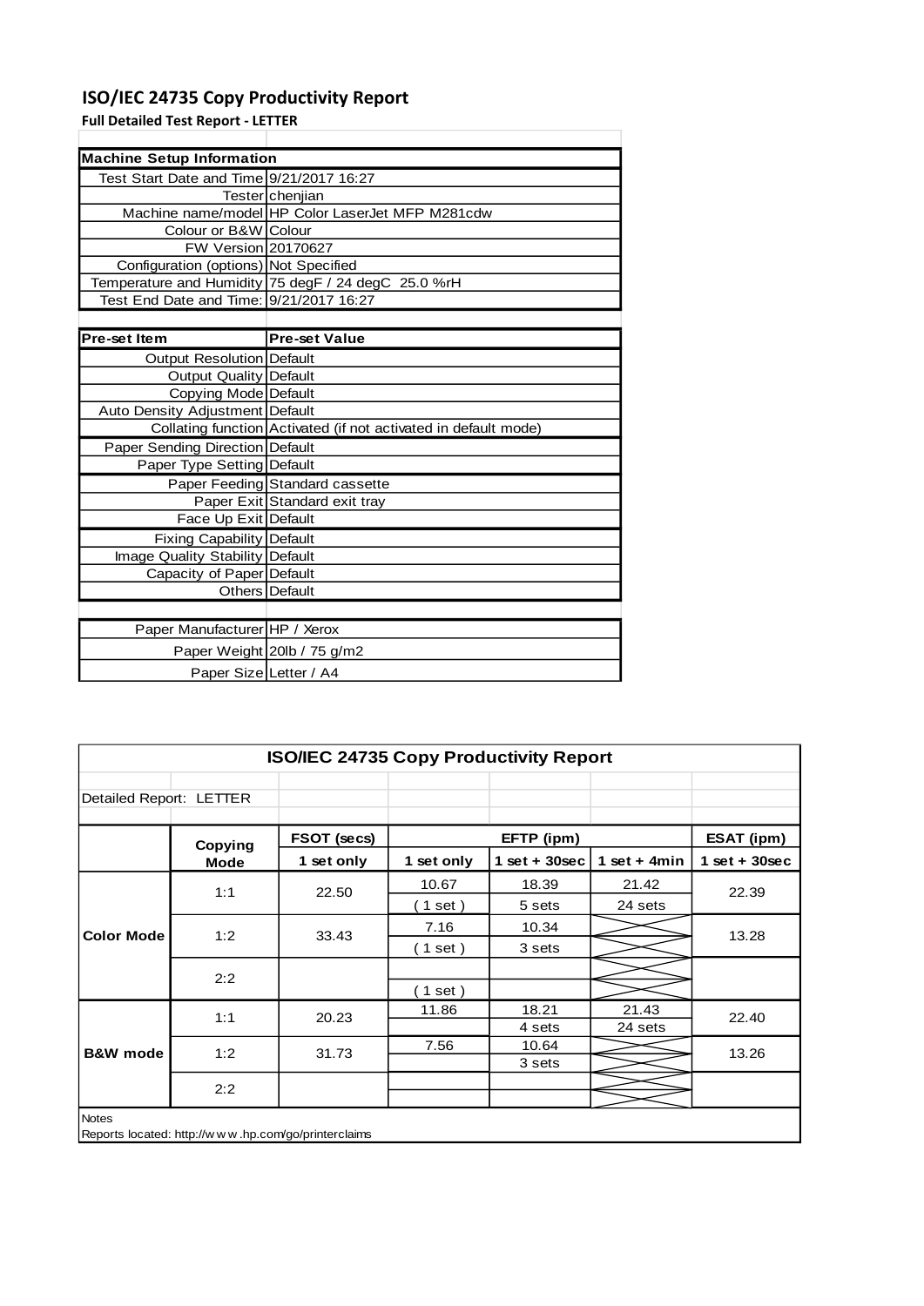# **ISO/IEC 24735 Copy Productivity Report**

**Full Detailed Test Report - LETTER**

| <b>Machine Setup Information</b>         |                                                                 |
|------------------------------------------|-----------------------------------------------------------------|
| Test Start Date and Time 9/21/2017 16:27 |                                                                 |
|                                          | Tester chenjian                                                 |
|                                          | Machine name/model HP Color LaserJet MFP M281cdw                |
| Colour or B&W Colour                     |                                                                 |
| <b>FW Version 20170627</b>               |                                                                 |
| Configuration (options) Not Specified    |                                                                 |
|                                          | Temperature and Humidity 75 degF / 24 degC 25.0 %rH             |
| Test End Date and Time: 9/21/2017 16:27  |                                                                 |
|                                          |                                                                 |
| <b>Pre-set Item</b>                      | <b>Pre-set Value</b>                                            |
| <b>Output Resolution Default</b>         |                                                                 |
| <b>Output Quality Default</b>            |                                                                 |
| Copying Mode Default                     |                                                                 |
| Auto Density Adjustment Default          |                                                                 |
|                                          | Collating function Activated (if not activated in default mode) |
| Paper Sending Direction Default          |                                                                 |
| Paper Type Setting Default               |                                                                 |
|                                          | Paper Feeding Standard cassette                                 |
|                                          | Paper Exit Standard exit tray                                   |
| Face Up Exit Default                     |                                                                 |
| <b>Fixing Capability Default</b>         |                                                                 |
| Image Quality Stability Default          |                                                                 |
| Capacity of Paper Default                |                                                                 |
|                                          | Others Default                                                  |
|                                          |                                                                 |
| Paper Manufacturer HP / Xerox            |                                                                 |
|                                          | Paper Weight 20lb / 75 g/m2                                     |
| Paper Size Letter / A4                   |                                                                 |

| Detailed Report: LETTER |             |             |            |                 |                |                 |
|-------------------------|-------------|-------------|------------|-----------------|----------------|-----------------|
|                         | Copying     | FSOT (secs) |            | EFTP (ipm)      |                | ESAT (ipm)      |
|                         | <b>Mode</b> | 1 set only  | 1 set only | $1$ set + 30sec | 1 set + $4min$ | $1$ set + 30sec |
|                         | 1:1         | 22.50       | 10.67      | 18.39           | 21.42          | 22.39           |
|                         |             |             | $1$ set)   | 5 sets          | 24 sets        |                 |
| <b>Color Mode</b>       | 1:2         | 33.43       | 7.16       | 10.34           |                | 13.28           |
|                         |             |             | (1 set)    | 3 sets          |                |                 |
|                         |             |             |            |                 |                |                 |
|                         | 2:2         |             | $1$ set)   |                 |                |                 |
|                         | 1:1         | 20.23       | 11.86      | 18.21           | 21.43          | 22.40           |
|                         |             |             |            | 4 sets          | 24 sets        |                 |
| <b>B&amp;W</b> mode     | 1:2         | 31.73       | 7.56       | 10.64           |                | 13.26           |
|                         |             |             |            | 3 sets          |                |                 |
|                         | 2:2         |             |            |                 |                |                 |
|                         |             |             |            |                 |                |                 |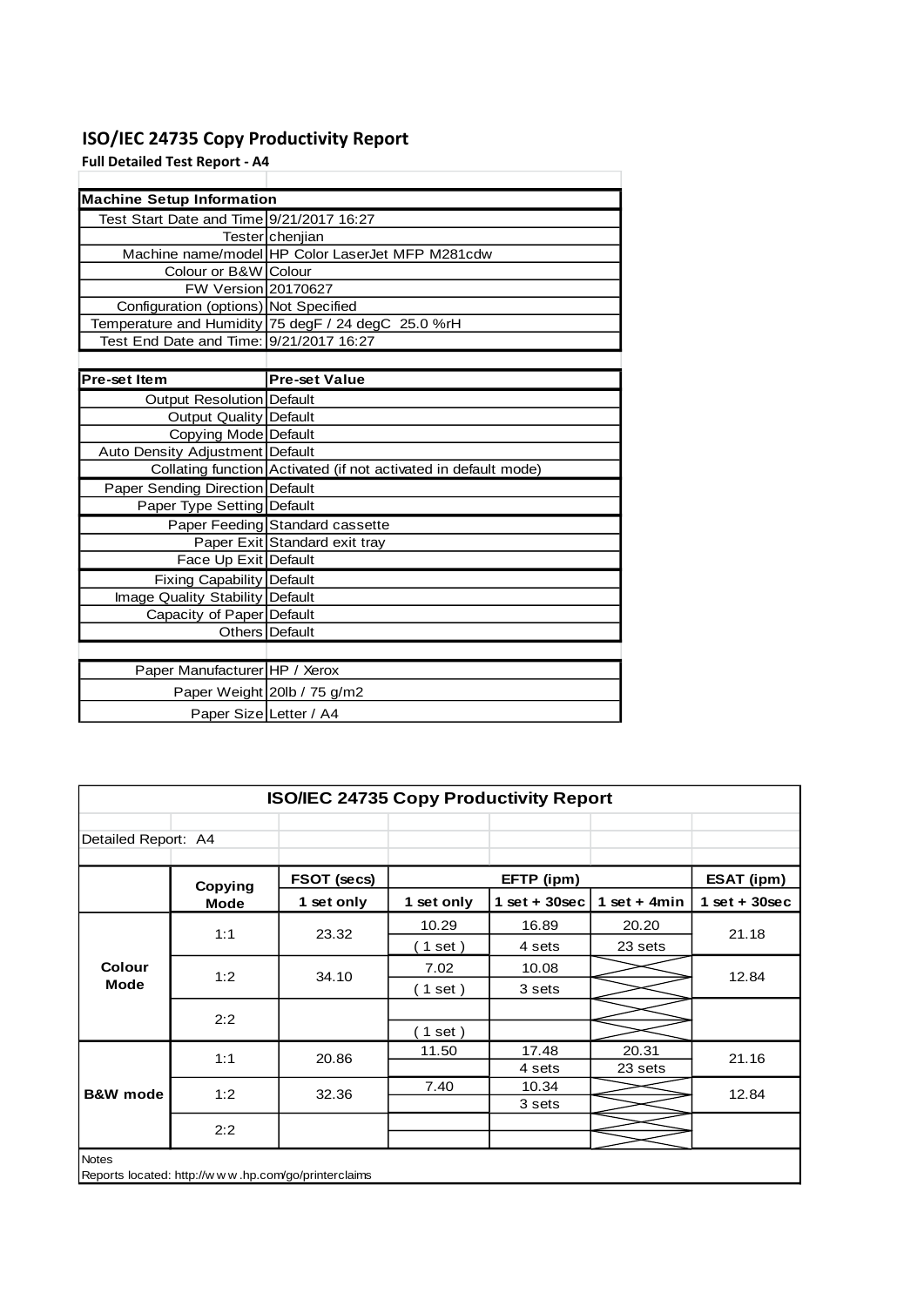# **ISO/IEC 24735 Copy Productivity Report**

**Full Detailed Test Report - A4**

| <b>Machine Setup Information</b>         |                                                                 |
|------------------------------------------|-----------------------------------------------------------------|
| Test Start Date and Time 9/21/2017 16:27 |                                                                 |
|                                          | Tester chenjian                                                 |
|                                          | Machine name/model HP Color LaserJet MFP M281cdw                |
| Colour or B&W Colour                     |                                                                 |
| FW Version 20170627                      |                                                                 |
| Configuration (options) Not Specified    |                                                                 |
|                                          | Temperature and Humidity 75 degF / 24 degC 25.0 %rH             |
| Test End Date and Time: 9/21/2017 16:27  |                                                                 |
|                                          |                                                                 |
| <b>Pre-set Item</b>                      | <b>Pre-set Value</b>                                            |
| Output Resolution Default                |                                                                 |
| Output Quality Default                   |                                                                 |
| Copying Mode Default                     |                                                                 |
| Auto Density Adjustment Default          |                                                                 |
|                                          | Collating function Activated (if not activated in default mode) |
| Paper Sending Direction Default          |                                                                 |
| Paper Type Setting Default               |                                                                 |
|                                          | Paper Feeding Standard cassette                                 |
|                                          | Paper Exit Standard exit tray                                   |
| Face Up Exit Default                     |                                                                 |
| <b>Fixing Capability Default</b>         |                                                                 |
| Image Quality Stability Default          |                                                                 |
| Capacity of Paper Default                |                                                                 |
|                                          | Others Default                                                  |
|                                          |                                                                 |
| Paper Manufacturer HP / Xerox            |                                                                 |
|                                          | Paper Weight 20lb / 75 g/m2                                     |
| Paper Size Letter / A4                   |                                                                 |

| <b>ISO/IEC 24735 Copy Productivity Report</b> |                                                     |             |            |                    |                |                   |  |  |
|-----------------------------------------------|-----------------------------------------------------|-------------|------------|--------------------|----------------|-------------------|--|--|
| Detailed Report: A4                           |                                                     |             |            |                    |                |                   |  |  |
|                                               | Copying                                             | FSOT (secs) |            | EFTP (ipm)         |                | <b>ESAT (ipm)</b> |  |  |
|                                               | <b>Mode</b>                                         | 1 set only  | 1 set only | $1$ set + $30$ sec | 1 set + $4min$ | $1$ set + 30sec   |  |  |
|                                               | 1:1                                                 | 23.32       | 10.29      | 16.89              | 20.20          | 21.18             |  |  |
|                                               |                                                     |             | $1$ set)   | 4 sets             | 23 sets        |                   |  |  |
| <b>Colour</b>                                 | 1:2                                                 | 34.10       | 7.02       | 10.08              |                | 12.84             |  |  |
| <b>Mode</b>                                   |                                                     |             | $1$ set)   | 3 sets             |                |                   |  |  |
|                                               | 2:2                                                 |             |            |                    |                |                   |  |  |
|                                               |                                                     |             | $1$ set)   |                    |                |                   |  |  |
|                                               | 1:1                                                 | 20.86       | 11.50      | 17.48              | 20.31          | 21.16             |  |  |
|                                               |                                                     |             |            | 4 sets             | 23 sets        |                   |  |  |
| <b>B&amp;W</b> mode                           | 1:2                                                 | 32.36       | 7.40       | 10.34              |                | 12.84             |  |  |
|                                               |                                                     |             |            | 3 sets             |                |                   |  |  |
|                                               | 2:2                                                 |             |            |                    |                |                   |  |  |
|                                               |                                                     |             |            |                    |                |                   |  |  |
| <b>Notes</b>                                  | Reports located: http://www.hp.com/go/printerclaims |             |            |                    |                |                   |  |  |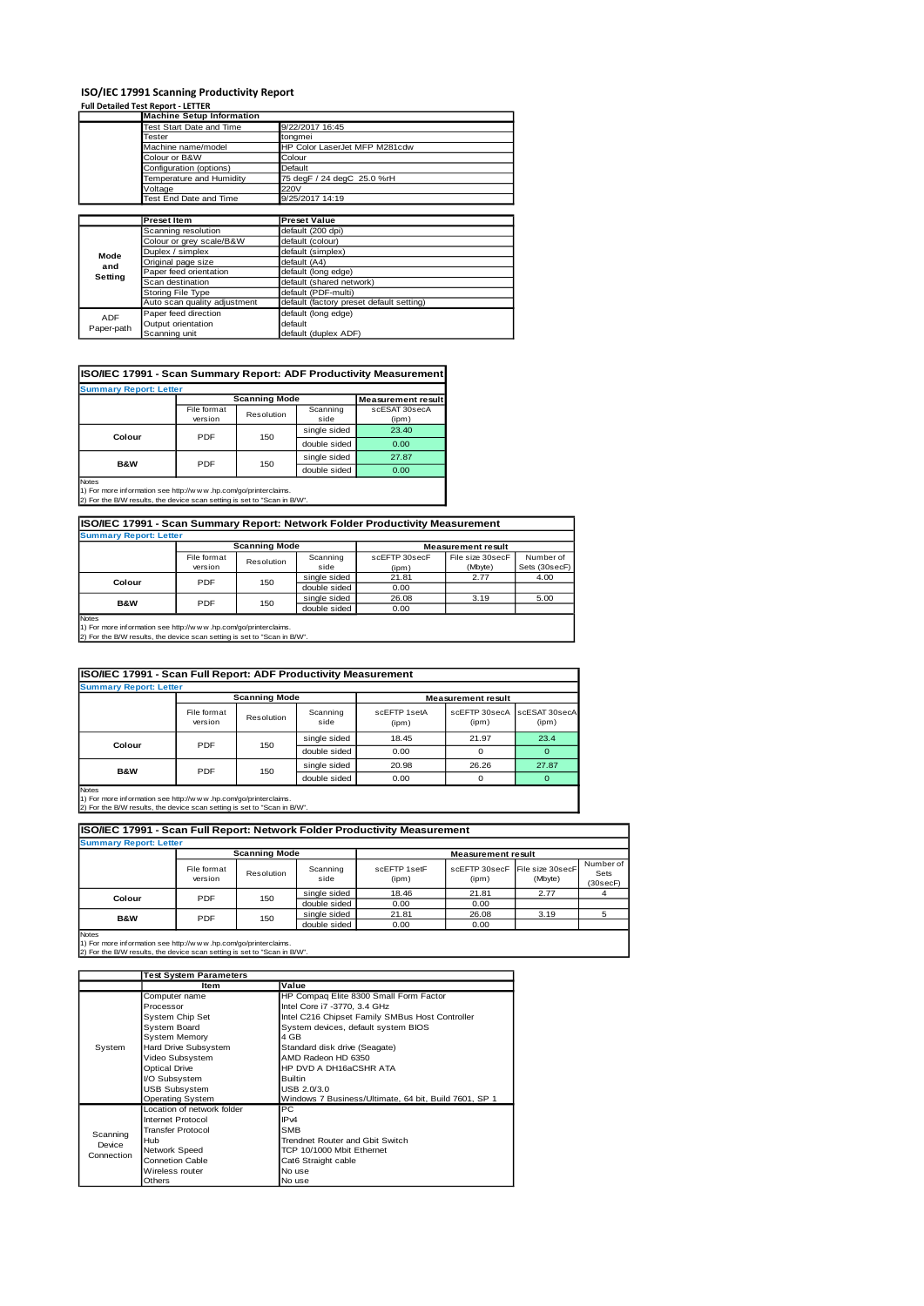# **ISO/IEC 17991 Scanning Productivity Report Full Detailed Test Report - LETTER**

|            | <b>Machine Setup Information</b> |                                          |
|------------|----------------------------------|------------------------------------------|
|            | Test Start Date and Time         | 9/22/2017 16:45                          |
|            | Tester                           | tongmei                                  |
|            | Machine name/model               | HP Color LaserJet MFP M281cdw            |
|            | Colour or B&W                    | Colour                                   |
|            | Configuration (options)          | Default                                  |
|            | Temperature and Humidity         | 75 degF / 24 degC 25.0 %rH               |
|            | Voltage                          | 220V                                     |
|            | Test End Date and Time           | 9/25/2017 14:19                          |
|            |                                  |                                          |
|            | <b>Preset Item</b>               | <b>Preset Value</b>                      |
|            | Scanning resolution              | default (200 dpi)                        |
|            | Colour or grey scale/B&W         | default (colour)                         |
| Mode       | Duplex / simplex                 | default (simplex)                        |
| and        | Original page size               | default (A4)                             |
| Setting    | Paper feed orientation           | default (long edge)                      |
|            | Scan destination                 | default (shared network)                 |
|            | Storing File Type                | default (PDF-multi)                      |
|            | Auto scan quality adjustment     | default (factory preset default setting) |
| <b>ADF</b> | Paper feed direction             | default (long edge)                      |
|            | Output orientation               | default                                  |
| Paper-path | Scanning unit                    | default (duplex ADF)                     |

#### **ISO/IEC 17991 - Scan Summary Report: ADF Productivity Measurement**

| <b>Summary Report: Letter</b>         |                        |                      |                           |                        |  |  |  |
|---------------------------------------|------------------------|----------------------|---------------------------|------------------------|--|--|--|
|                                       |                        | <b>Scanning Mode</b> | <b>Measurement result</b> |                        |  |  |  |
|                                       | File format<br>version | Resolution           | Scanning<br>side          | scESAT 30secA<br>(ipm) |  |  |  |
| Colour                                | PDF                    | 150                  | single sided              | 23.40                  |  |  |  |
|                                       |                        |                      | double sided              | 0.00                   |  |  |  |
|                                       | PDF                    |                      | single sided              | 27.87                  |  |  |  |
| B&W                                   |                        | 150                  | double sided              | 0.00                   |  |  |  |
| <b>Notes</b><br>the state of the con- |                        |                      |                           |                        |  |  |  |

Notes 1) For more information see http://w w w .hp.com/go/printerclaims. 2) For the B/W results, the device scan setting is set to "Scan in B/W".

| ISO/IEC 17991 - Scan Summary Report: Network Folder Productivity Measurement                                                                                                                                                                          |                                                   |              |              |       |      |      |  |  |  |
|-------------------------------------------------------------------------------------------------------------------------------------------------------------------------------------------------------------------------------------------------------|---------------------------------------------------|--------------|--------------|-------|------|------|--|--|--|
| <b>Summary Report: Letter</b>                                                                                                                                                                                                                         |                                                   |              |              |       |      |      |  |  |  |
|                                                                                                                                                                                                                                                       | <b>Scanning Mode</b><br><b>Measurement result</b> |              |              |       |      |      |  |  |  |
| File size 30secF<br>Number of<br>scEFTP 30secF<br>File format<br>Scanning<br>Resolution<br>Sets (30secF)<br>side<br>(Mbyte)<br>version<br>(ipm)                                                                                                       |                                                   |              |              |       |      |      |  |  |  |
| Colour                                                                                                                                                                                                                                                | PDF                                               | 150          | single sided | 21.81 | 2.77 | 4.00 |  |  |  |
|                                                                                                                                                                                                                                                       |                                                   | double sided | 0.00         |       |      |      |  |  |  |
| B&W                                                                                                                                                                                                                                                   | PDF                                               | 150          | single sided | 26.08 | 3.19 | 5.00 |  |  |  |
|                                                                                                                                                                                                                                                       |                                                   |              | double sided | 0.00  |      |      |  |  |  |
| <b>Notes</b><br>$\mathbf{a}$ and $\mathbf{b}$ are all the second states of the second states of the second states of the second states of the second states of the second states of the second states of the second states of the second states of th |                                                   |              |              |       |      |      |  |  |  |

1) For more information see http://w w w .hp.com/go/printerclaims. 2) For the B/W results, the device scan setting is set to "Scan in B/W".

| ISO/IEC 17991 - Scan Full Report: ADF Productivity Measurement |                        |                      |                  |                       |                                      |       |  |  |  |
|----------------------------------------------------------------|------------------------|----------------------|------------------|-----------------------|--------------------------------------|-------|--|--|--|
| <b>Summary Report: Letter</b>                                  |                        |                      |                  |                       |                                      |       |  |  |  |
|                                                                |                        | <b>Scanning Mode</b> |                  |                       | <b>Measurement result</b>            |       |  |  |  |
|                                                                | File format<br>version | Resolution           | Scanning<br>side | scEETP 1setA<br>(ipm) | scEFTP 30secA scESAT 30secA<br>(ipm) | (ipm) |  |  |  |
| Colour                                                         | PDF<br>150             |                      | single sided     | 18.45                 | 21.97                                | 23.4  |  |  |  |
|                                                                |                        |                      | double sided     | 0.00                  | O                                    |       |  |  |  |
| B&W                                                            | PDF                    |                      | single sided     | 20.98                 | 26.26                                | 27.87 |  |  |  |
|                                                                | 150                    | double sided         | 0.00             | O                     |                                      |       |  |  |  |
| <b>Notes</b>                                                   |                        |                      |                  |                       |                                      |       |  |  |  |

Notes 1) For more information see http://w w w .hp.com/go/printerclaims. 2) For the B/W results, the device scan setting is set to "Scan in B/W".

**ISO/IEC 17991 - Scan Full Report: Network Folder Productivity Measurement**

| <b>Summary Report: Letter</b> |                             |              |                  |                           |                        |                             |                               |
|-------------------------------|-----------------------------|--------------|------------------|---------------------------|------------------------|-----------------------------|-------------------------------|
|                               | <b>Scanning Mode</b>        |              |                  | <b>Measurement result</b> |                        |                             |                               |
|                               | File format<br>version      | Resolution   | Scanning<br>side | scEFTP 1setF<br>(ipm)     | scEFTP 30secF<br>(ipm) | File size 30secF<br>(Mbyte) | Number of<br>Sets<br>(30secF) |
|                               | <b>PDF</b><br>150<br>Colour |              | single sided     | 18.46                     | 21.81                  | 2.77                        |                               |
|                               |                             |              | double sided     | 0.00                      | 0.00                   |                             |                               |
| <b>B&amp;W</b><br><b>PDF</b>  | 150                         | single sided | 21.81            | 26.08                     | 3.19                   |                             |                               |
|                               |                             |              | double sided     | 0.00                      | 0.00                   |                             |                               |
| <b>Notes</b>                  |                             |              |                  |                           |                        |                             |                               |

Notes 1) For more information see http://w w w .hp.com/go/printerclaims. 2) For the B/W results, the device scan setting is set to "Scan in B/W".

|            | <b>Test System Parameters</b> |                                                       |  |  |
|------------|-------------------------------|-------------------------------------------------------|--|--|
|            | ltem                          | Value                                                 |  |  |
|            | Computer name                 | HP Compag Elite 8300 Small Form Factor                |  |  |
|            | Processor                     | Intel Core i7 -3770, 3.4 GHz                          |  |  |
|            | System Chip Set               | Intel C216 Chipset Family SMBus Host Controller       |  |  |
|            | System Board                  | System devices, default system BIOS                   |  |  |
|            | <b>System Memory</b>          | 4 GB                                                  |  |  |
| System     | Hard Drive Subsystem          | Standard disk drive (Seagate)                         |  |  |
|            | Video Subsystem               | AMD Radeon HD 6350                                    |  |  |
|            | <b>Optical Drive</b>          | HP DVD A DH16aCSHR ATA                                |  |  |
|            | <b>VO Subsystem</b>           | <b>Builtin</b>                                        |  |  |
|            | <b>USB Subsystem</b>          | USB 2.0/3.0                                           |  |  |
|            | <b>Operating System</b>       | Windows 7 Business/Ultimate, 64 bit, Build 7601, SP 1 |  |  |
|            | Location of network folder    | PC                                                    |  |  |
|            | Internet Protocol             | IP <sub>v4</sub>                                      |  |  |
| Scanning   | <b>Transfer Protocol</b>      | <b>SMB</b>                                            |  |  |
| Device     | Hub                           | Trendnet Router and Gbit Switch                       |  |  |
| Connection | Network Speed                 | TCP 10/1000 Mbit Ethemet                              |  |  |
|            | <b>Connetion Cable</b>        | Cat6 Straight cable                                   |  |  |
|            | Wireless router               | No use                                                |  |  |
|            | Others                        | No use                                                |  |  |